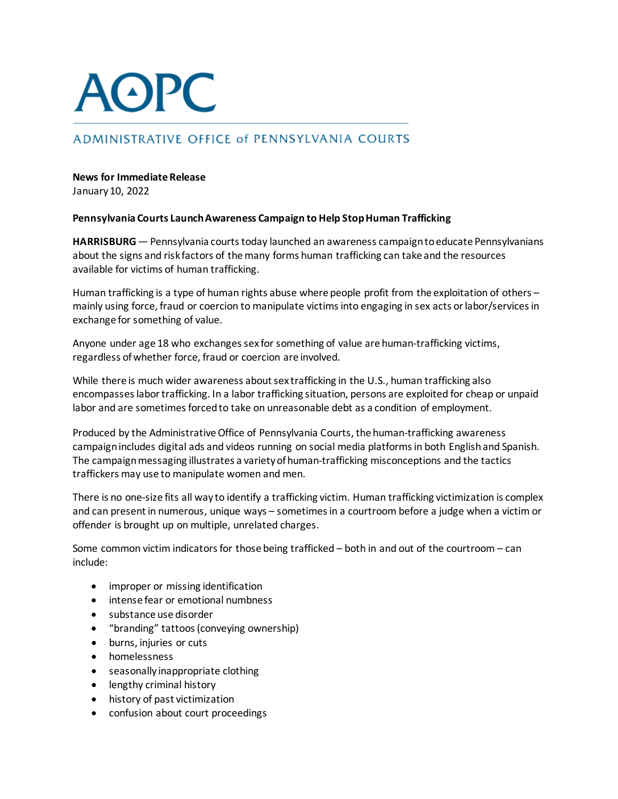## **AOPC**

## **ADMINISTRATIVE OFFICE of PENNSYLVANIA COURTS**

## **News for Immediate Release**

January 10, 2022

## **Pennsylvania Courts LaunchAwareness Campaign to Help StopHuman Trafficking**

**HARRISBURG** — Pennsylvania courts today launched an awareness campaign to educate Pennsylvanians about the signs and risk factors of the many forms human trafficking can take and the resources available for victims of human trafficking.

Human trafficking is a type of human rights abuse where people profit from the exploitation of others – mainly using force, fraud or coercion to manipulate victimsinto engaging in sex acts orlabor/servicesin exchange for something of value.

Anyone under age 18 who exchanges sex for something of value are human-trafficking victims, regardless ofwhether force, fraud or coercion are involved.

While there is much wider awareness about sex trafficking in the U.S., human trafficking also encompasses labor trafficking. In a labor trafficking situation, persons are exploited for cheap or unpaid labor and are sometimes forced to take on unreasonable debt as a condition of employment.

Produced by the Administrative Office of Pennsylvania Courts, the human-trafficking awareness campaignincludes digital ads and videos running on social media platforms in both English and Spanish. The campaign messaging illustrates a variety of human-trafficking misconceptions and the tactics traffickers may use to manipulate women and men.

There is no one-size fits all way to identify a trafficking victim. Human trafficking victimization is complex and can present in numerous, unique ways – sometimes in a courtroom before a judge when a victim or offender is brought up on multiple, unrelated charges.

Some common victim indicators for those being trafficked – both in and out of the courtroom – can include:

- improper or missing identification
- intense fear or emotional numbness
- substance use disorder
- "branding" tattoos (conveying ownership)
- burns, injuries or cuts
- homelessness
- seasonally inappropriate clothing
- lengthy criminal history
- history of past victimization
- confusion about court proceedings